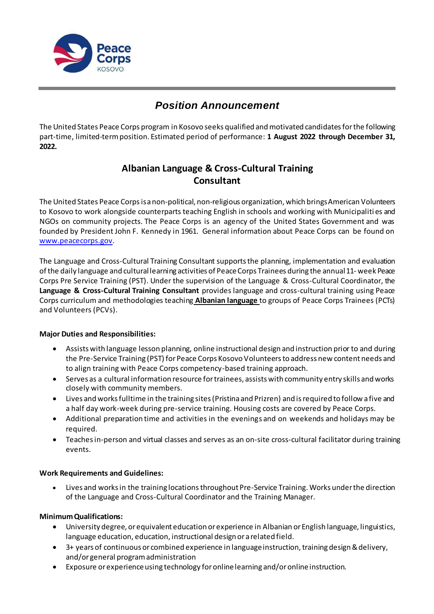

# *Position Announcement*

The United States Peace Corps program in Kosovo seeks qualified andmotivated candidatesforthe following part-time, limited-term position. Estimated period of performance: **1 August 2022 through December 31, 2022.**

# **Albanian Language & Cross-Cultural Training Consultant**

The United States Peace Corpsisanon-political, non-religious organization, which bringsAmerican Volunteers to Kosovo to work alongside counterparts teaching English in schools and working with Municipaliti es and NGOs on community projects. The Peace Corps is an agency of the United States Government and was founded by President John F. Kennedy in 1961. General information about Peace Corps can be found on [www.peacecorps.gov](http://www.peacecorps.gov/).

The Language and Cross-Cultural Training Consultant supportsthe planning, implementation and evaluation ofthe daily language and culturallearning activities of PeaceCorps Trainees during the annual11- week Peace Corps Pre Service Training (PST). Under the supervision of the Language & Cross-Cultural Coordinator, the **Language & Cross-Cultural Training Consultant** provides language and cross-cultural training using Peace Corps curriculum and methodologies teaching **Albanian language** to groups of Peace Corps Trainees (PCTs) and Volunteers (PCVs).

## **Major Duties and Responsibilities:**

- Assists with language lesson planning, online instructional design and instruction prior to and during the Pre-Service Training (PST) for Peace Corps Kosovo Volunteersto address new content needs and to align training with Peace Corps competency-based training approach.
- Serves as a cultural information resource for trainees, assists with community entry skills and works closely with community members.
- Lives and works fulltime in the training sites (Pristina and Prizren) and is required to follow a five and a half day work-week during pre-service training. Housing costs are covered by Peace Corps.
- Additional preparation time and activities in the evenings and on weekends and holidays may be required.
- Teachesin-person and virtual classes and serves as an on-site cross-cultural facilitator during training events.

## **Work Requirements and Guidelines:**

 Lives and works in the training locationsthroughout Pre-Service Training. Works under the direction of the Language and Cross-Cultural Coordinator and the Training Manager.

## **MinimumQualifications:**

- University degree, or equivalent education or experience in Albanian or English language, linguistics, language education, education, instructional design or a related field.
- 3+ years of continuous or combined experience in language instruction, training design & delivery, and/or general program administration
- Exposure orexperienceusing technology foronlinelearning and/oronlineinstruction.